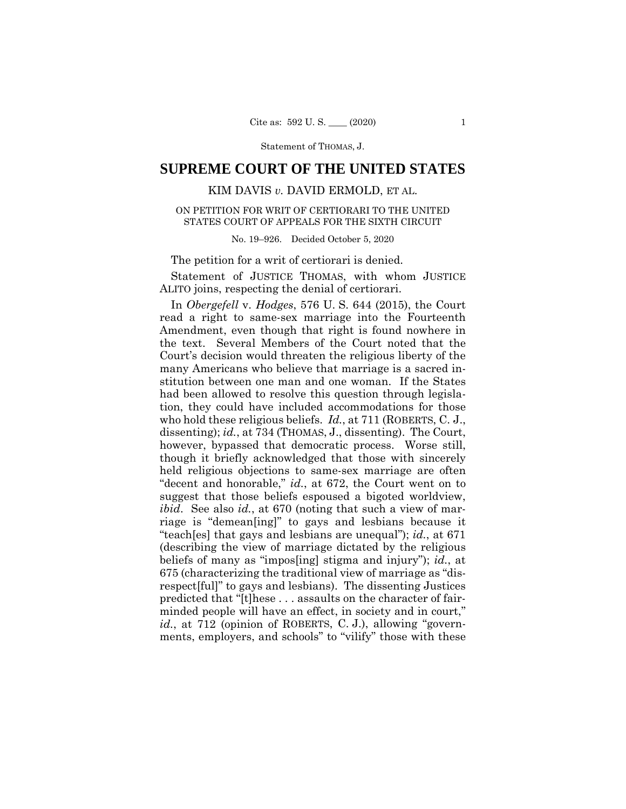# **SUPREME COURT OF THE UNITED STATES**

# KIM DAVIS *v.* DAVID ERMOLD, ET AL.

## ON PETITION FOR WRIT OF CERTIORARI TO THE UNITED STATES COURT OF APPEALS FOR THE SIXTH CIRCUIT

No. 19–926. Decided October 5, 2020

The petition for a writ of certiorari is denied.

Statement of JUSTICE THOMAS, with whom JUSTICE ALITO joins, respecting the denial of certiorari.

In *Obergefell* v. *Hodges*, 576 U. S. 644 (2015), the Court read a right to same-sex marriage into the Fourteenth Amendment, even though that right is found nowhere in the text. Several Members of the Court noted that the Court's decision would threaten the religious liberty of the many Americans who believe that marriage is a sacred institution between one man and one woman. If the States had been allowed to resolve this question through legislation, they could have included accommodations for those who hold these religious beliefs. *Id.*, at 711 (ROBERTS, C. J., dissenting); *id.*, at 734 (THOMAS, J., dissenting). The Court, however, bypassed that democratic process. Worse still, though it briefly acknowledged that those with sincerely held religious objections to same-sex marriage are often "decent and honorable," *id.*, at 672, the Court went on to suggest that those beliefs espoused a bigoted worldview, *ibid*. See also *id.*, at 670 (noting that such a view of marriage is "demean[ing]" to gays and lesbians because it "teach[es] that gays and lesbians are unequal"); *id.*, at 671 (describing the view of marriage dictated by the religious beliefs of many as "impos[ing] stigma and injury"); *id.*, at 675 (characterizing the traditional view of marriage as "disrespect[ful]" to gays and lesbians). The dissenting Justices predicted that "[t]hese . . . assaults on the character of fairminded people will have an effect, in society and in court," *id.*, at 712 (opinion of ROBERTS, C. J.), allowing "governments, employers, and schools" to "vilify" those with these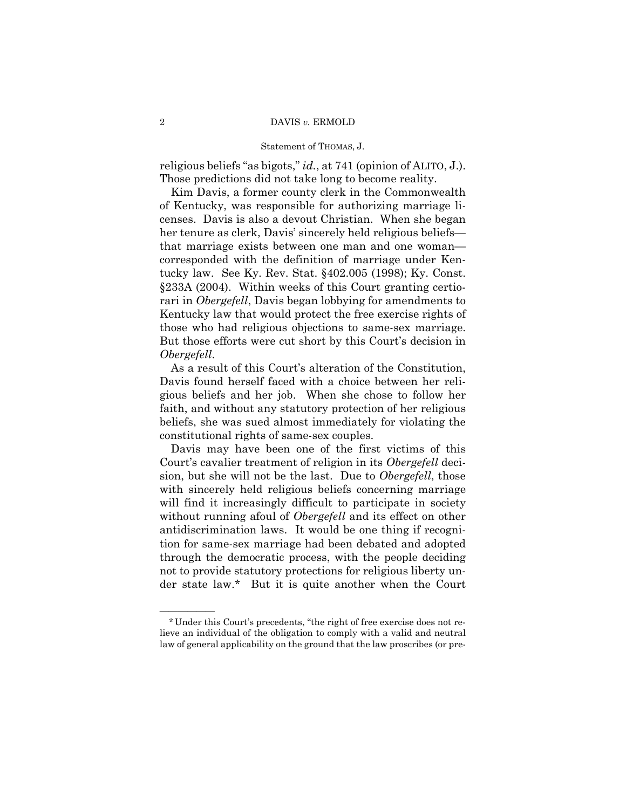religious beliefs "as bigots," *id.*, at 741 (opinion of ALITO, J.). Those predictions did not take long to become reality.

Kim Davis, a former county clerk in the Commonwealth of Kentucky, was responsible for authorizing marriage licenses. Davis is also a devout Christian. When she began her tenure as clerk, Davis' sincerely held religious beliefs that marriage exists between one man and one woman corresponded with the definition of marriage under Kentucky law. See Ky. Rev. Stat. §402.005 (1998); Ky. Const. §233A (2004). Within weeks of this Court granting certiorari in *Obergefell*, Davis began lobbying for amendments to Kentucky law that would protect the free exercise rights of those who had religious objections to same-sex marriage. But those efforts were cut short by this Court's decision in *Obergefell*.

As a result of this Court's alteration of the Constitution, Davis found herself faced with a choice between her religious beliefs and her job. When she chose to follow her faith, and without any statutory protection of her religious beliefs, she was sued almost immediately for violating the constitutional rights of same-sex couples.

Davis may have been one of the first victims of this Court's cavalier treatment of religion in its *Obergefell* decision, but she will not be the last. Due to *Obergefell*, those with sincerely held religious beliefs concerning marriage will find it increasingly difficult to participate in society without running afoul of *Obergefell* and its effect on other antidiscrimination laws. It would be one thing if recognition for same-sex marriage had been debated and adopted through the democratic process, with the people deciding not to provide statutory protections for religious liberty under state law.\* But it is quite another when the Court

——————

<sup>\*</sup>Under this Court's precedents, "the right of free exercise does not relieve an individual of the obligation to comply with a valid and neutral law of general applicability on the ground that the law proscribes (or pre-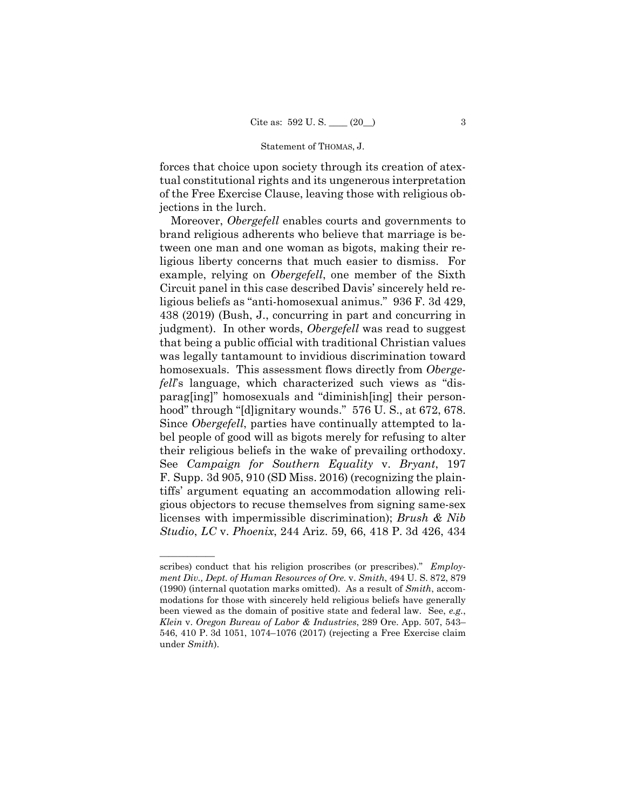forces that choice upon society through its creation of atextual constitutional rights and its ungenerous interpretation of the Free Exercise Clause, leaving those with religious objections in the lurch.

Moreover, *Obergefell* enables courts and governments to brand religious adherents who believe that marriage is between one man and one woman as bigots, making their religious liberty concerns that much easier to dismiss. For example, relying on *Obergefell*, one member of the Sixth Circuit panel in this case described Davis' sincerely held religious beliefs as "anti-homosexual animus." 936 F. 3d 429, 438 (2019) (Bush, J., concurring in part and concurring in judgment). In other words, *Obergefell* was read to suggest that being a public official with traditional Christian values was legally tantamount to invidious discrimination toward homosexuals. This assessment flows directly from *Obergefell*'s language, which characterized such views as "disparag[ing]" homosexuals and "diminish[ing] their personhood" through "[d]ignitary wounds." 576 U. S., at 672, 678. Since *Obergefell*, parties have continually attempted to label people of good will as bigots merely for refusing to alter their religious beliefs in the wake of prevailing orthodoxy. See *Campaign for Southern Equality* v. *Bryant*, 197 F. Supp. 3d 905, 910 (SD Miss. 2016) (recognizing the plaintiffs' argument equating an accommodation allowing religious objectors to recuse themselves from signing same-sex licenses with impermissible discrimination); *Brush & Nib Studio*, *LC* v. *Phoenix*, 244 Ariz. 59, 66, 418 P. 3d 426, 434

——————

 scribes) conduct that his religion proscribes (or prescribes)." *Employment Div., Dept. of Human Resources of Ore.* v. *Smith*, 494 U. S. 872, 879 (1990) (internal quotation marks omitted). As a result of *Smith*, accommodations for those with sincerely held religious beliefs have generally been viewed as the domain of positive state and federal law. See, *e.g.*, *Klein* v. *Oregon Bureau of Labor & Industries*, 289 Ore. App. 507, 543– 546, 410 P. 3d 1051, 1074–1076 (2017) (rejecting a Free Exercise claim under *Smith*).